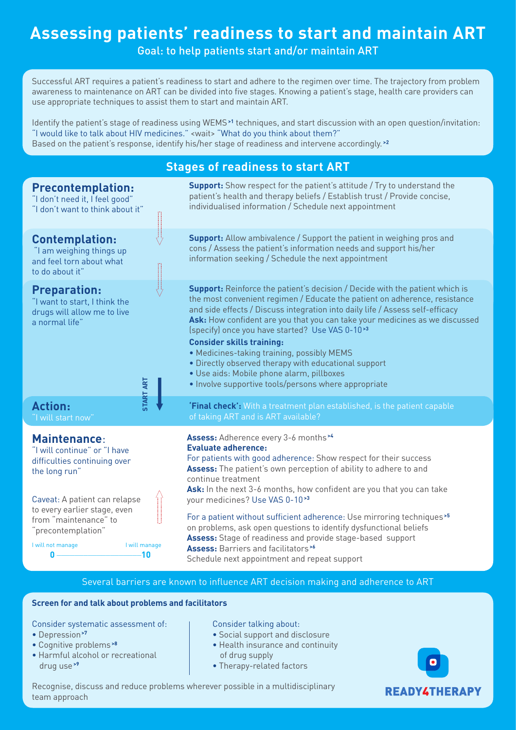# **Assessing patients' readiness to start and maintain ART**

Goal: to help patients start and/or maintain ART

Successful ART requires a patient's readiness to start and adhere to the regimen over time. The trajectory from problem awareness to maintenance on ART can be divided into five stages. Knowing a patient's stage, health care providers can use appropriate techniques to assist them to start and maintain ART.

Identify the patient's stage of readiness using WEMS**>1** techniques, and start discussion with an open question/invitation: "I would like to talk about HIV medicines." <wait> "What do you think about them?" Based on the patient's response, identify his/her stage of readiness and intervene accordingly. **>2**

# **Stages of readiness to start ART**



### Several barriers are known to influence ART decision making and adherence to ART

## **Screen for and talk about problems and facilitators**

Consider systematic assessment of:

- Depression**>7**
- Cognitive problems **>8**
- Harmful alcohol or recreational drug use **>9**

#### Consider talking about:

- Social support and disclosure
- Health insurance and continuity

**READY4THERAPY** 

- of drug supply
- Therapy-related factors